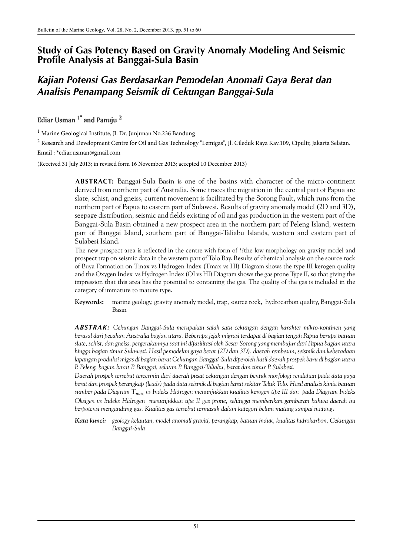# **Study of Gas Potency Based on Gravity Anomaly Modeling And Seismic Profile Analysis at Banggai-Sula Basin**

# *Kajian Potensi Gas Berdasarkan Pemodelan Anomali Gaya Berat dan Analisis Penampang Seismik di Cekungan Banggai-Sula*

# Ediar Usman  $1^*$  and Panuju  $^2$

<sup>1</sup> Marine Geological Institute, Jl. Dr. Junjunan No.236 Bandung

 $^2$  Research and Development Centre for Oil and Gas Technology "Lemigas", Jl. Cileduk Raya Kav.109, Cipulir, Jakarta Selatan. Email : \*ediar.usman@gmail.com

(Received 31 July 2013; in revised form 16 November 2013; accepted 10 December 2013)

**ABSTRACT:** Banggai-Sula Basin is one of the basins with character of the micro-continent derived from northern part of Australia. Some traces the migration in the central part of Papua are slate, schist, and gneiss, current movement is facilitated by the Sorong Fault, which runs from the northern part of Papua to eastern part of Sulawesi. Results of gravity anomaly model (2D and 3D), seepage distribution, seismic and fields existing of oil and gas production in the western part of the Banggai-Sula Basin obtained a new prospect area in the northern part of Peleng Island, western part of Banggai Island, southern part of Banggai-Taliabu Islands, western and eastern part of Sulabesi Island.

The new prospect area is reflected in the centre with form of ??the low morphology on gravity model and prospect trap on seismic data in the western part of Tolo Bay. Results of chemical analysis on the source rock of Buya Formation on Tmax vs Hydrogen Index (Tmax vs HI) Diagram shows the type III kerogen quality and the Oxygen Index vs Hydrogen Index (OI vs HI) Diagram shows the gas prone Type II, so that giving the impression that this area has the potential to containing the gas. The quality of the gas is included in the category of immature to mature type.

**Keywords:** marine geology, gravity anomaly model, trap, source rock, hydrocarbon quality, Banggai-Sula Basin

*ABSTRAK: Cekungan Banggai-Sula merupakan salah satu cekungan dengan karakter mikro-kontinen yang berasal dari pecahan Australia bagian utara. Beberapa jejak migrasi terdapat di bagian tengah Papua berupa batuan slate, schist, dan gneiss, pergerakannya saat ini difasilitasi oleh Sesar Sorong yang membujur dari Papua bagian utara hingga bagian timur Sulawesi. Hasil pemodelan gaya berat (2D dan 3D), daerah rembesan, seismik dan keberadaan lapangan produksi migas di bagian barat Cekungan Banggai-Sula diperoleh hasil daerah prospek baru di bagian utara P. Peleng, bagian barat P. Banggai, selatan P. Banggai-Taliabu, barat dan timur P. Sulabesi.* 

*Daerah prospek tersebut tercermin dari daerah pusat cekungan dengan bentuk morfologi rendahan pada data gaya berat dan prospek perangkap (leads) pada data seismik di bagian barat sekitar Teluk Tolo. Hasil analisis kimia batuan sumber pada Diagram Tmax vs Indeks Hidrogen menunjukkan kualitas kerogen tipe III dan pada Diagram Indeks Oksigen vs Indeks Hidrogen menunjukkan tipe II gas prone, sehingga memberikan gambaran bahwa daerah ini berpotensi mengandung gas. Kualitas gas tersebut termasuk dalam kategori belum matang sampai matang.*

*Kata kunci: geology kelautan, model anomali graviti, perangkap, batuan induk, kualitas hidrokarbon, Cekungan Banggai-Sula*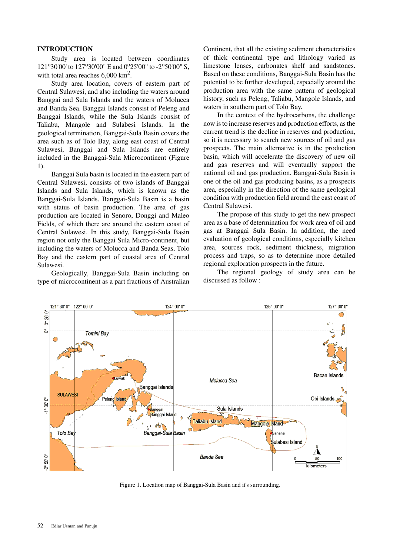# **INTRODUCTION**

Study area is located between coordinates 121°30'00' to 127°30'00" E and 0°25'00" to -2°50'00" S, with total area reaches  $6,000 \text{ km}^2$ .

Study area location, covers of eastern part of Central Sulawesi, and also including the waters around Banggai and Sula Islands and the waters of Molucca and Banda Sea. Banggai Islands consist of Peleng and Banggai Islands, while the Sula Islands consist of Taliabu, Mangole and Sulabesi Islands. In the geological termination, Banggai-Sula Basin covers the area such as of Tolo Bay, along east coast of Central Sulawesi, Banggai and Sula Islands are entirely included in the Banggai-Sula Microcontinent (Figure 1).

Banggai Sula basin is located in the eastern part of Central Sulawesi, consists of two islands of Banggai Islands and Sula Islands, which is known as the Banggai-Sula Islands. Banggai-Sula Basin is a basin with status of basin production. The area of gas production are located in Senoro, Donggi and Maleo Fields, of which there are around the eastern coast of Central Sulawesi. In this study, Banggai-Sula Basin region not only the Banggai Sula Micro-continent, but including the waters of Molucca and Banda Seas, Tolo Bay and the eastern part of coastal area of Central Sulawesi.

Geologically, Banggai-Sula Basin including on type of microcontinent as a part fractions of Australian Continent, that all the existing sediment characteristics of thick continental type and lithology varied as limestone lenses, carbonates shelf and sandstones. Based on these conditions, Banggai-Sula Basin has the potential to be further developed, especially around the production area with the same pattern of geological history, such as Peleng, Taliabu, Mangole Islands, and waters in southern part of Tolo Bay.

In the context of the hydrocarbons, the challenge now is to increase reserves and production efforts, as the current trend is the decline in reserves and production, so it is necessary to search new sources of oil and gas prospects. The main alternative is in the production basin, which will accelerate the discovery of new oil and gas reserves and will eventually support the national oil and gas production. Banggai-Sula Basin is one of the oil and gas producing basins, as a prospects area, especially in the direction of the same geological condition with production field around the east coast of Central Sulawesi.

The propose of this study to get the new prospect area as a base of determination for work area of oil and gas at Banggai Sula Basin. In addition, the need evaluation of geological conditions, especially kitchen area, sources rock, sediment thickness, migration process and traps, so as to determine more detailed regional exploration prospects in the future.

The regional geology of study area can be discussed as follow :



Figure 1. Location map of Banggai-Sula Basin and it's surrounding.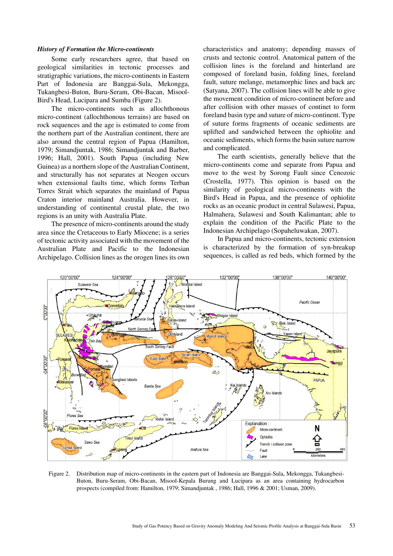### *History of Formation the Micro-continents*

Some early researchers agree, that based on geological similarities in tectonic processes and stratigraphic variations, the micro-continents in Eastern Part of Indonesia are Banggai-Sula, Mekongga, Tukangbesi-Buton, Buru-Seram, Obi-Bacan, Misool-Bird's Head, Lucipara and Sumba (Figure 2).

The micro-continents such as allochthonous micro-continent (allochthonous terrains) are based on rock sequences and the age is estimated to come from the northern part of the Australian continent, there are also around the central region of Papua (Hamilton, 1979; Simandjuntak, 1986; Simandjuntak and Barber, 1996; Hall, 2001). South Papua (including New Guinea) as a northern slope of the Australian Continent, and structurally has not separates at Neogen occurs when extensional faults time, which forms Terban Torres Strait which separates the mainland of Papua Craton interior mainland Australia. However, in understanding of continental crustal plate, the two regions is an unity with Australia Plate.

The presence of micro-continents around the study area since the Cretaceous to Early Miocene; is a series of tectonic activity associated with the movement of the Australian Plate and Pacific to the Indonesian Archipelago. Collision lines as the orogen lines its own characteristics and anatomy; depending masses of crusts and tectonic control. Anatomical pattern of the collision lines is the foreland and hinterland are composed of foreland basin, folding lines, foreland fault, suture melange, metamorphic lines and back arc (Satyana, 2007). The collision lines will be able to give the movement condition of micro-continent before and after collision with other masses of continet to form foreland basin type and suture of micro-continent. Type of suture forms fragments of oceanic sediments are uplifted and sandwiched between the ophiolite and oceanic sediments, which forms the basin suture narrow and complicated.

The earth scientists, generally believe that the micro-continents come and separate from Papua and move to the west by Sorong Fault since Cenozoic (Crostella, 1977). This opinion is based on the similarity of geological micro-continents with the Bird's Head in Papua, and the presence of ophiolite rocks as an oceanic product in central Sulawesi, Papua, Halmahera, Sulawesi and South Kalimantan; able to explain the condition of the Pacific Plate to the Indonesian Archipelago (Sopaheluwakan, 2007).

In Papua and micro-continents, tectonic extension is characterized by the formation of syn-breakup sequences, is called as red beds, which formed by the



Figure 2. Distribution map of micro-continents in the eastern part of Indonesia are Banggai-Sula, Mekongga, Tukangbesi-Buton, Buru-Seram, Obi-Bacan, Misool-Kepala Burung and Lucipara as an area containing hydrocarbon prospects (compiled from: Hamilton, 1979; Simandjuntak , 1986; Hall, 1996 & 2001; Usman, 2009).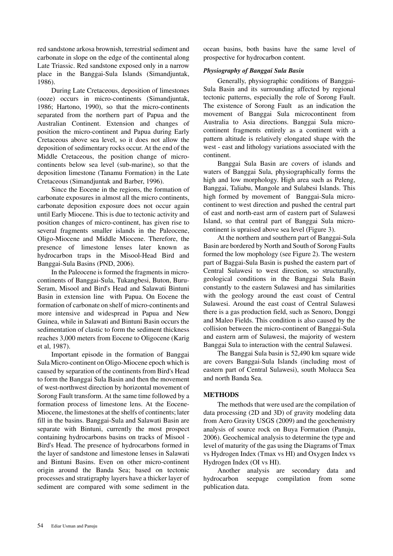red sandstone arkosa brownish, terrestrial sediment and carbonate in slope on the edge of the continental along Late Triassic. Red sandstone exposed only in a narrow place in the Banggai-Sula Islands (Simandjuntak, 1986).

During Late Cretaceous, deposition of limestones (ooze) occurs in micro-continents (Simandjuntak, 1986; Hartono, 1990), so that the micro-continents separated from the northern part of Papua and the Australian Continent. Extension and changes of position the micro-continent and Papua during Early Cretaceous above sea level, so it does not allow the deposition of sedimentary rocks occur. At the end of the Middle Cretaceous, the position change of microcontinents below sea level (sub-marine), so that the deposition limestone (Tanamu Formation) in the Late Cretaceous (Simandjuntak and Barber, 1996).

Since the Eocene in the regions, the formation of carbonate exposures in almost all the micro continents, carbonate deposition exposure does not occur again until Early Miocene. This is due to tectonic activity and position changes of micro-continent, has given rise to several fragments smaller islands in the Paleocene, Oligo-Miocene and Middle Miocene. Therefore, the presence of limestone lenses later known as hydrocarbon traps in the Misool-Head Bird and Banggai-Sula Basins (PND, 2006).

In the Paleocene is formed the fragments in microcontinents of Banggai-Sula, Tukangbesi, Buton, Buru-Seram, Misool and Bird's Head and Salawati Bintuni Basin in extension line with Papua. On Eocene the formation of carbonate on shelf of micro-continents and more intensive and widespread in Papua and New Guinea, while in Salawati and Bintuni Basin occurs the sedimentation of clastic to form the sediment thickness reaches 3,000 meters from Eocene to Oligocene (Karig et al, 1987).

Important episode in the formation of Banggai Sula Micro-continent on Oligo-Miocene epoch which is caused by separation of the continents from Bird's Head to form the Banggai Sula Basin and then the movement of west-northwest direction by horizontal movement of Sorong Fault transform. At the same time followed by a formation process of limestone lens. At the Eocene-Miocene, the limestones at the shelfs of continents; later fill in the basins. Banggai-Sula and Salawati Basin are separate with Bintuni, currently the most prospect containing hydrocarbons basins on tracks of Misool - Bird's Head. The presence of hydrocarbons formed in the layer of sandstone and limestone lenses in Salawati and Bintuni Basins. Even on other micro-continent origin around the Banda Sea; based on tectonic processes and stratigraphy layers have a thicker layer of sediment are compared with some sediment in the

ocean basins, both basins have the same level of prospective for hydrocarbon content.

# *Physiography of Banggai Sula Basin*

Generally, physiographic conditions of Banggai-Sula Basin and its surrounding affected by regional tectonic patterns, especially the role of Sorong Fault. The existence of Sorong Fault as an indication the movement of Banggai Sula microcontinent from Australia to Asia directions. Banggai Sula microcontinent fragments entirely as a continent with a pattern altitude is relatively elongated shape with the west - east and lithology variations associated with the continent.

Banggai Sula Basin are covers of islands and waters of Banggai Sula, physiographically forms the high and low morphology. High area such as Peleng, Banggai, Taliabu, Mangole and Sulabesi Islands. This high formed by movement of Banggai-Sula microcontinent to west direction and pushed the central part of east and north-east arm of eastern part of Sulawesi Island, so that central part of Banggai Sula microcontinent is upraised above sea level (Figure 3).

At the northern and southern part of Banggai-Sula Basin are bordered by North and South of Sorong Faults formed the low mophology (see Figure 2). The western part of Baggai-Sula Basin is pushed the eastern part of Central Sulawesi to west direction, so structurally, geological conditions in the Banggai Sula Basin constantly to the eastern Sulawesi and has similarities with the geology around the east coast of Central Sulawesi. Around the east coast of Central Sulawesi there is a gas production field, such as Senoro, Donggi and Maleo Fields. This condition is also caused by the collision between the micro-continent of Banggai-Sula and eastern arm of Sulawesi, the majority of western Banggai Sula to interaction with the central Sulawesi.

The Banggai Sula basin is 52,490 km square wide are covers Banggai-Sula Islands (including most of eastern part of Central Sulawesi), south Molucca Sea and north Banda Sea.

# **METHODS**

The methods that were used are the compilation of data processing (2D and 3D) of gravity modeling data from Aero Gravity USGS (2009) and the geochemistry analysis of source rock on Buya Formation (Panuju, 2006). Geochemical analysis to determine the type and level of maturity of the gas using the Diagrams of Tmax vs Hydrogen Index (Tmax vs HI) and Oxygen Index vs Hydrogen Index (OI vs HI).

Another analysis are secondary data and hydrocarbon seepage compilation from some publication data.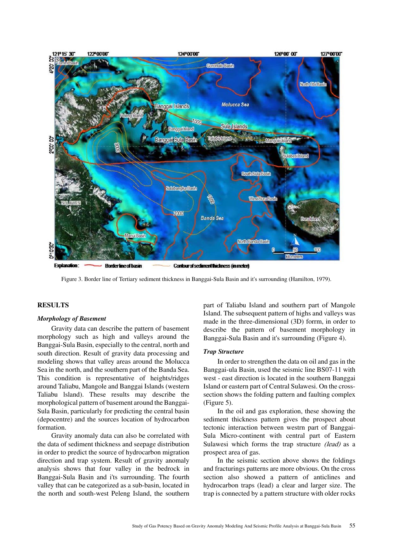

Figure 3. Border line of Tertiary sediment thickness in Banggai-Sula Basin and it's surrounding (Hamilton, 1979).

# **RESULTS**

#### *Morphology of Basement*

Gravity data can describe the pattern of basement morphology such as high and valleys around the Banggai-Sula Basin, especially to the central, north and south direction. Result of gravity data processing and modeling shows that valley areas around the Molucca Sea in the north, and the southern part of the Banda Sea. This condition is representative of heights/ridges around Taliabu, Mangole and Banggai Islands (western Taliabu lsland). These results may describe the morphological pattern of basement around the Banggai-Sula Basin, particularly for predicting the central basin (depocentre) and the sources location of hydrocarbon formation.

Gravity anomaly data can also be correlated with the data of sediment thickness and seepage distribution in order to predict the source of hydrocarbon migration direction and trap system. Result of gravity anomaly analysis shows that four valley in the bedrock in Banggai-Sula Basin and i'ts surrounding. The fourth valley that can be categorized as a sub-basin, located in the north and south-west Peleng Island, the southern

part of Taliabu Island and southern part of Mangole Island. The subsequent pattern of highs and valleys was made in the three-dimensional (3D) forrm, in order to describe the pattern of basement morphology in Banggai-Sula Basin and it's surrounding (Figure 4).

#### *Trap Structure*

In order to strengthen the data on oil and gas in the Banggai-ula Basin, used the seismic line BS07-11 with west - east direction is located in the southern Banggai Island or eastern part of Central Sulawesi. On the crosssection shows the folding pattern and faulting complex (Figure 5).

In the oil and gas exploration, these showing the sediment thickness pattern gives the prospect about tectonic interaction between westrn part of Banggai-Sula Micro-continent with central part of Eastern Sulawesi which forms the trap structure (lead) as a prospect area of gas.

In the seismic section above shows the foldings and fracturings patterns are more obvious. On the cross section also showed a pattern of anticlines and hydrocarbon traps (lead) a clear and larger size. The trap is connected by a pattern structure with older rocks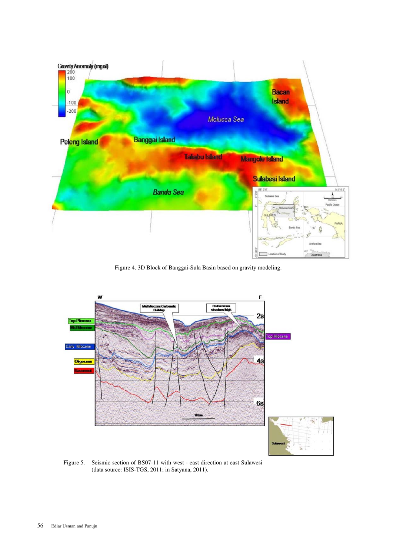

Figure 4. 3D Block of Banggai-Sula Basin based on gravity modeling.



Figure 5. Seismic section of BS07-11 with west - east direction at east Sulawesi (data source: ISIS-TGS, 2011; in Satyana, 2011).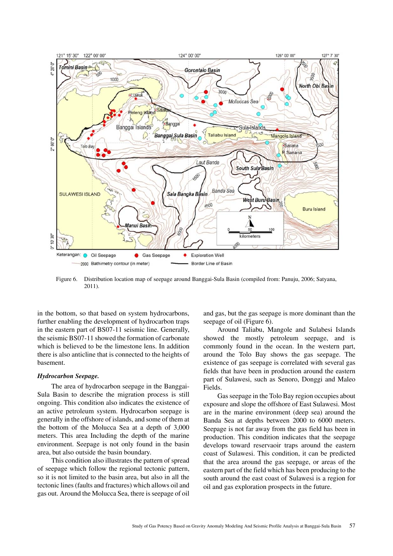

Figure 6. Distribution location map of seepage around Banggai-Sula Basin (compiled from: Panuju, 2006; Satyana, 2011).

in the bottom, so that based on system hydrocarbons, further enabling the development of hydrocarbon traps in the eastern part of BS07-11 seismic line. Generally, the seismic BS07-11 showed the formation of carbonate which is believed to be the limestone lens. In addition there is also anticline that is connected to the heights of basement.

#### *Hydrocarbon Seepage.*

The area of hydrocarbon seepage in the Banggai-Sula Basin to describe the migration process is still ongoing. This condition also indicates the existence of an active petroleum system. Hydrocarbon seepage is generally in the offshore of islands, and some of them at the bottom of the Molucca Sea at a depth of 3,000 meters. This area Including the depth of the marine environment. Seepage is not only found in the basin area, but also outside the basin boundary.

This condition also illustrates the pattern of spread of seepage which follow the regional tectonic pattern, so it is not limited to the basin area, but also in all the tectonic lines (faults and fractures) which allows oil and gas out. Around the Molucca Sea, there is seepage of oil and gas, but the gas seepage is more dominant than the seepage of oil (Figure 6).

Around Taliabu, Mangole and Sulabesi Islands showed the mostly petroleum seepage, and is commonly found in the ocean. In the western part, around the Tolo Bay shows the gas seepage. The existence of gas seepage is correlated with several gas fields that have been in production around the eastern part of Sulawesi, such as Senoro, Donggi and Maleo Fields.

Gas seepage in the Tolo Bay region occupies about exposure and slope the offshore of East Sulawesi. Most are in the marine environment (deep sea) around the Banda Sea at depths between 2000 to 6000 meters. Seepage is not far away from the gas field has been in production. This condition indicates that the seepage develops toward reservaoir traps around the eastern coast of Sulawesi. This condition, it can be predicted that the area around the gas seepage, or areas of the eastern part of the field which has been producing to the south around the east coast of Sulawesi is a region for oil and gas exploration prospects in the future.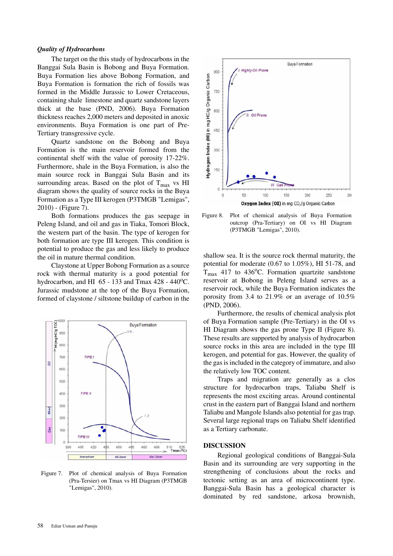#### *Quality of Hydrocarbons*

The target on the this study of hydrocarbons in the Banggai Sula Basin is Bobong and Buya Formation. Buya Formation lies above Bobong Formation, and Buya Formation is formation the rich of fossils was formed in the Middle Jurassic to Lower Cretaceous, containing shale limestone and quartz sandstone layers thick at the base (PND, 2006). Buya Formation thickness reaches 2,000 meters and deposited in anoxic environments. Buya Formation is one part of Pre-Tertiary transgressive cycle.

Quartz sandstone on the Bobong and Buya Formation is the main reservoir formed from the continental shelf with the value of porosity 17-22%. Furthermore, shale in the Buya Formation, is also the main source rock in Banggai Sula Basin and its surrounding areas. Based on the plot of  $T_{\text{max}}$  vs HI diagram shows the quality of source rocks in the Buya Formation as a Type III kerogen (P3TMGB "Lemigas", 2010) - (Figure 7).

Both formations produces the gas seepage in Peleng Island, and oil and gas in Tiaka, Tomori Block, the western part of the basin. The type of kerogen for both formation are type III kerogen. This condition is potential to produce the gas and less likely to produce the oil in mature thermal condition.

Claystone at Upper Bobong Formation as a source rock with thermal maturity is a good potential for hydrocarbon, and HI  $65 - 133$  and Tmax 428 - 440<sup>o</sup>C. Jurassic mudstone at the top of the Buya Formation, formed of claystone / siltstone buildup of carbon in the



Figure 7. Plot of chemical analysis of Buya Formation (Pra-Tersier) on Tmax vs HI Diagram (P3TMGB "Lemigas", 2010).



Figure 8. Plot of chemical analysis of Buya Formation outcrop (Pra-Tertiary) on OI vs HI Diagram (P3TMGB "Lemigas", 2010).

shallow sea. It is the source rock thermal maturity, the potential for moderate (0.67 to 1.05%), HI 51-78, and  $T_{\text{max}}$  417 to 436°C. Formation quartzite sandstone reservoir at Bobong in Peleng Island serves as a reservoir rock, while the Buya Formation indicates the porosity from 3.4 to 21.9% or an average of 10.5% (PND, 2006).

Furthermore, the results of chemical analysis plot of Buya Formation sample (Pre-Tertiary) in the OI vs HI Diagram shows the gas prone Type II (Figure 8). These results are supported by analysis of hydrocarbon source rocks in this area are included in the type III kerogen, and potential for gas. However, the quality of the gas is included in the category of immature, and also the relatively low TOC content.

Traps and migration are generally as a clos structure for hydrocarbon traps, Taliabu Shelf is represents the most exciting areas. Around continental crust in the eastern part of Banggai Island and northern Taliabu and Mangole Islands also potential for gas trap. Several large regional traps on Taliabu Shelf identified as a Tertiary carbonate.

#### **DISCUSSION**

Regional geological conditions of Banggai-Sula Basin and its surrounding are very supporting in the strengthening of conclusions about the rocks and tectonic setting as an area of microcontinent type. Banggai-Sula Basin has a geological character is dominated by red sandstone, arkosa brownish,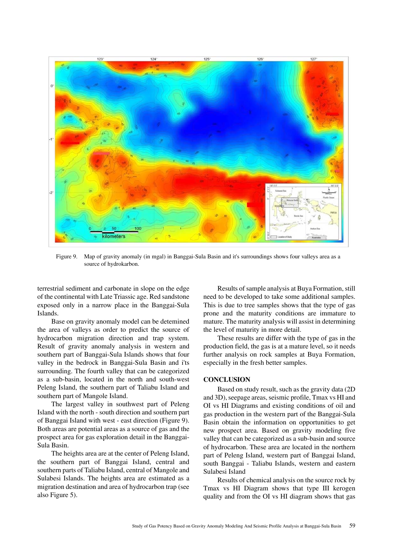

Figure 9. Map of gravity anomaly (in mgal) in Banggai-Sula Basin and it's surroundings shows four valleys area as a source of hydrokarbon.

terrestrial sediment and carbonate in slope on the edge of the continental with Late Triassic age. Red sandstone exposed only in a narrow place in the Banggai-Sula Islands.

Base on gravity anomaly model can be detemined the area of valleys as order to predict the source of hydrocarbon migration direction and trap system. Result of gravity anomaly analysis in western and southern part of Banggai-Sula Islands shows that four valley in the bedrock in Banggai-Sula Basin and i'ts surrounding. The fourth valley that can be categorized as a sub-basin, located in the north and south-west Peleng Island, the southern part of Taliabu Island and southern part of Mangole Island.

The largest valley in southwest part of Peleng Island with the north - south direction and southern part of Banggai Island with west - east direction (Figure 9). Both areas are potential areas as a source of gas and the prospect area for gas exploration detail in the Banggai-Sula Basin.

The heights area are at the center of Peleng Island, the southern part of Banggai Island, central and southern parts of Taliabu Island, central of Mangole and Sulabesi Islands. The heights area are estimated as a migration destination and area of hydrocarbon trap (see also Figure 5).

Results of sample analysis at Buya Formation, still need to be developed to take some additional samples. This is due to tree samples shows that the type of gas prone and the maturity conditions are immature to mature. The maturity analysis will assist in determining the level of maturity in more detail.

These results are differ with the type of gas in the production field, the gas is at a mature level, so it needs further analysis on rock samples at Buya Formation, especially in the fresh better samples.

# **CONCLUSION**

Based on study result, such as the gravity data (2D and 3D), seepage areas, seismic profile, Tmax vs HI and OI vs HI Diagrams and existing conditions of oil and gas production in the western part of the Banggai-Sula Basin obtain the information on opportunities to get new prospect area. Based on gravity modeling five valley that can be categorized as a sub-basin and source of hydrocarbon. These area are located in the northern part of Peleng Island, western part of Banggai Island, south Banggai - Taliabu Islands, western and eastern Sulabesi Island

Results of chemical analysis on the source rock by Tmax vs HI Diagram shows that type III kerogen quality and from the OI vs HI diagram shows that gas